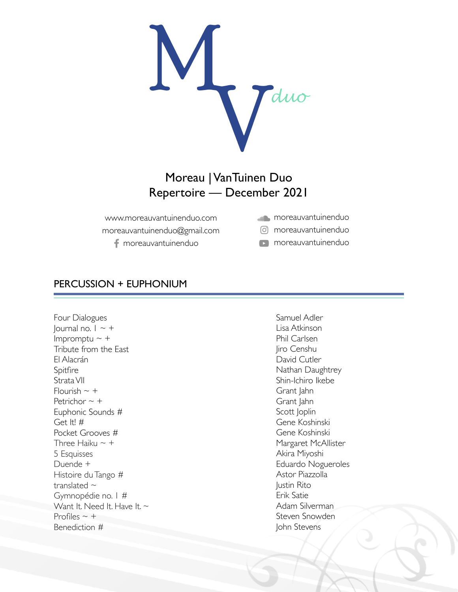

## Moreau | VanTuinen Duo Repertoire — December 2021

www.moreauvantuinenduo.com moreauvantuinenduo@gmail.com f moreauvantuinenduo

- **moreauvantuinenduo**
- moreauvantuinenduo

**n** moreauvantuinenduo

## PERCUSSION + EUPHONIUM

Four Dialogues Journal no.  $1 \sim +$ Impromptu  $\sim$  + Tribute from the East El Alacrán Spitfire Strata VII Flourish  $\sim$  + Petrichor  $\sim$  + Euphonic Sounds # Get It! # Pocket Grooves # Three Haiku  $\sim +$ 5 Esquisses Duende + Histoire du Tango # translated  $\sim$ Gymnopédie no. 1 # Want It. Need It. Have It.  $\sim$ Profiles  $\sim$  + Benediction #

Samuel Adler Lisa Atkinson Phil Carlsen Jiro Censhu David Cutler Nathan Daughtrey Shin-Ichiro Ikebe Grant Jahn Grant Jahn Scott Joplin Gene Koshinski Gene Koshinski Margaret McAllister Akira Miyoshi Eduardo Nogueroles Astor Piazzolla Justin Rito Erik Satie Adam Silverman Steven Snowden John Stevens